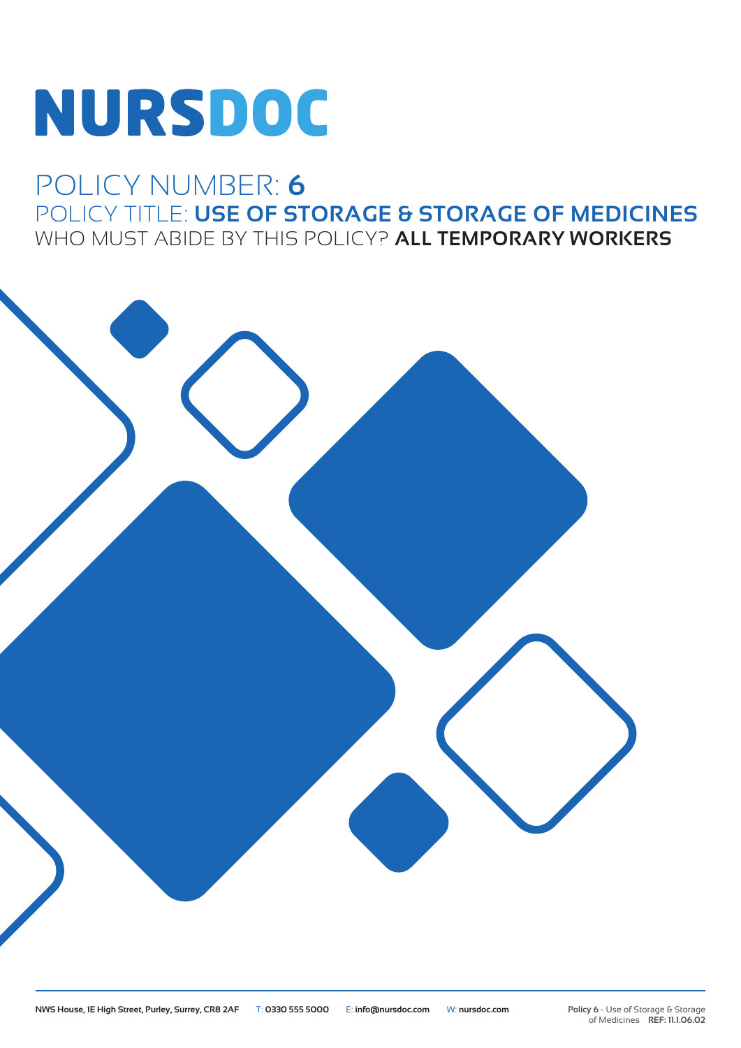# **NURSDOC**

## POLICY NUMBER: **6** POLICY TITLE: **USE OF STORAGE & STORAGE OF MEDICINES** WHO MUST ABIDE BY THIS POLICY? **ALL TEMPORARY WORKERS**